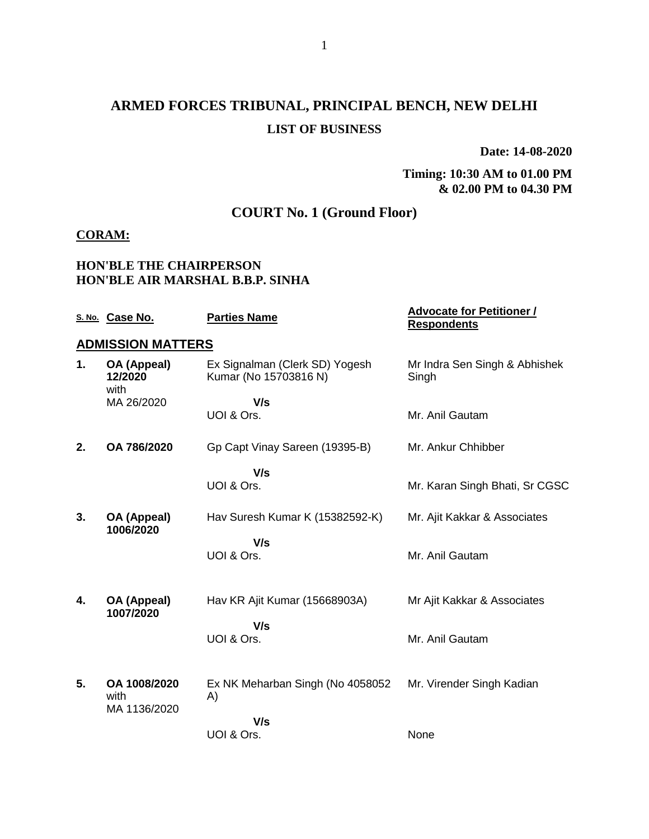# **ARMED FORCES TRIBUNAL, PRINCIPAL BENCH, NEW DELHI LIST OF BUSINESS**

**Date: 14-08-2020**

### **Timing: 10:30 AM to 01.00 PM & 02.00 PM to 04.30 PM**

# **COURT No. 1 (Ground Floor)**

## **CORAM:**

### **HON'BLE THE CHAIRPERSON HON'BLE AIR MARSHAL B.B.P. SINHA**

|    | S. No. Case No.                      | <b>Parties Name</b>                                     | <b>Advocate for Petitioner /</b><br><b>Respondents</b> |
|----|--------------------------------------|---------------------------------------------------------|--------------------------------------------------------|
|    | <b>ADMISSION MATTERS</b>             |                                                         |                                                        |
| 1. | OA (Appeal)<br>12/2020<br>with       | Ex Signalman (Clerk SD) Yogesh<br>Kumar (No 15703816 N) | Mr Indra Sen Singh & Abhishek<br>Singh                 |
|    | MA 26/2020                           | V/s                                                     |                                                        |
|    |                                      | UOI & Ors.                                              | Mr. Anil Gautam                                        |
| 2. | OA 786/2020                          | Gp Capt Vinay Sareen (19395-B)                          | Mr. Ankur Chhibber                                     |
|    |                                      | V/s<br>UOI & Ors.                                       | Mr. Karan Singh Bhati, Sr CGSC                         |
| 3. | OA (Appeal)<br>1006/2020             | Hav Suresh Kumar K (15382592-K)                         | Mr. Ajit Kakkar & Associates                           |
|    |                                      | V/s<br>UOI & Ors.                                       | Mr. Anil Gautam                                        |
| 4. | OA (Appeal)<br>1007/2020             | Hav KR Ajit Kumar (15668903A)                           | Mr Ajit Kakkar & Associates                            |
|    |                                      | V/s<br>UOI & Ors.                                       | Mr. Anil Gautam                                        |
| 5. | OA 1008/2020<br>with<br>MA 1136/2020 | Ex NK Meharban Singh (No 4058052<br>A)                  | Mr. Virender Singh Kadian                              |
|    |                                      | V/s                                                     |                                                        |
|    |                                      | UOI & Ors.                                              | None                                                   |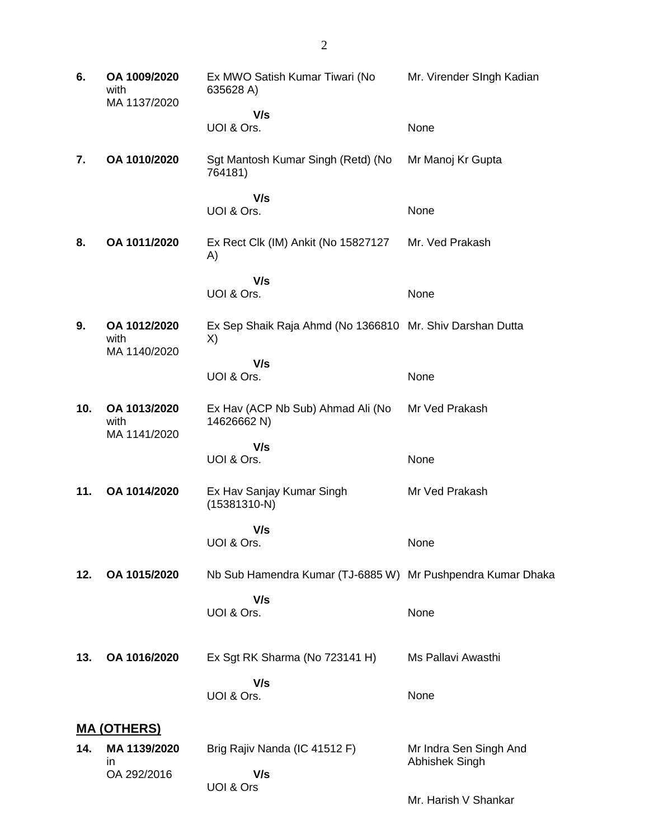| 6.  | OA 1009/2020<br>with<br>MA 1137/2020 | Ex MWO Satish Kumar Tiwari (No<br>635628 A)                     | Mr. Virender SIngh Kadian                |
|-----|--------------------------------------|-----------------------------------------------------------------|------------------------------------------|
|     |                                      | V/s<br>UOI & Ors.                                               | None                                     |
| 7.  | OA 1010/2020                         | Sgt Mantosh Kumar Singh (Retd) (No<br>764181)                   | Mr Manoj Kr Gupta                        |
|     |                                      | V/s<br>UOI & Ors.                                               | None                                     |
| 8.  | OA 1011/2020                         | Ex Rect Clk (IM) Ankit (No 15827127<br>A)                       | Mr. Ved Prakash                          |
|     |                                      | V/s<br>UOI & Ors.                                               | None                                     |
| 9.  | OA 1012/2020<br>with<br>MA 1140/2020 | Ex Sep Shaik Raja Ahmd (No 1366810 Mr. Shiv Darshan Dutta<br>X) |                                          |
|     |                                      | V/s<br>UOI & Ors.                                               | None                                     |
| 10. | OA 1013/2020<br>with<br>MA 1141/2020 | Ex Hav (ACP Nb Sub) Ahmad Ali (No<br>14626662 N)                | Mr Ved Prakash                           |
|     |                                      | V/s<br>UOI & Ors.                                               | None                                     |
| 11. | OA 1014/2020                         | Ex Hav Sanjay Kumar Singh<br>$(15381310-N)$                     | Mr Ved Prakash                           |
|     |                                      | V/s<br>UOI & Ors.                                               | None                                     |
| 12. | OA 1015/2020                         | Nb Sub Hamendra Kumar (TJ-6885 W) Mr Pushpendra Kumar Dhaka     |                                          |
|     |                                      | V/s<br>UOI & Ors.                                               | None                                     |
| 13. | OA 1016/2020                         | Ex Sgt RK Sharma (No 723141 H)                                  | Ms Pallavi Awasthi                       |
|     |                                      | V/s<br>UOI & Ors.                                               | None                                     |
|     | <u>MA (OTHERS)</u>                   |                                                                 |                                          |
| 14. | MA 1139/2020<br>in                   | Brig Rajiv Nanda (IC 41512 F)                                   | Mr Indra Sen Singh And<br>Abhishek Singh |
|     | OA 292/2016                          | V/s<br>UOI & Ors                                                |                                          |

Mr. Harish V Shankar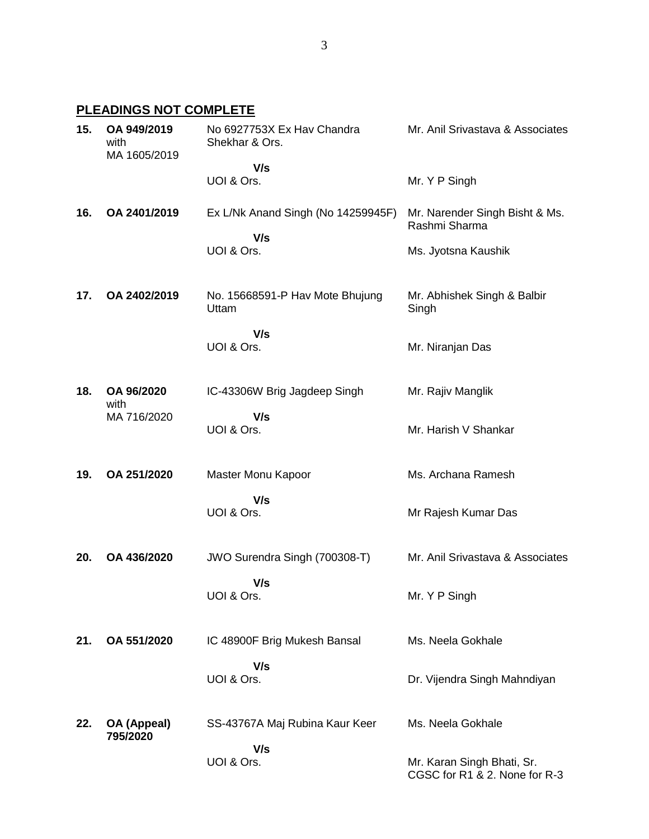## **PLEADINGS NOT COMPLETE**

| 15. | OA 949/2019<br>with<br>MA 1605/2019 | No 6927753X Ex Hav Chandra<br>Shekhar & Ors. | Mr. Anil Srivastava & Associates                            |
|-----|-------------------------------------|----------------------------------------------|-------------------------------------------------------------|
|     |                                     | V/s<br>UOI & Ors.                            | Mr. Y P Singh                                               |
| 16. | OA 2401/2019                        | Ex L/Nk Anand Singh (No 14259945F)           | Mr. Narender Singh Bisht & Ms.<br>Rashmi Sharma             |
|     |                                     | V/s<br>UOI & Ors.                            | Ms. Jyotsna Kaushik                                         |
| 17. | OA 2402/2019                        | No. 15668591-P Hav Mote Bhujung<br>Uttam     | Mr. Abhishek Singh & Balbir<br>Singh                        |
|     |                                     | V/s<br>UOI & Ors.                            | Mr. Niranjan Das                                            |
| 18. | OA 96/2020<br>with                  | IC-43306W Brig Jagdeep Singh                 | Mr. Rajiv Manglik                                           |
|     | MA 716/2020                         | V/s<br>UOI & Ors.                            | Mr. Harish V Shankar                                        |
| 19. | OA 251/2020                         | Master Monu Kapoor                           | Ms. Archana Ramesh                                          |
|     |                                     | V/s<br>UOI & Ors.                            | Mr Rajesh Kumar Das                                         |
| 20. | OA 436/2020                         | JWO Surendra Singh (700308-T)                | Mr. Anil Srivastava & Associates                            |
|     |                                     | V/s<br>UOI & Ors.                            | Mr. Y P Singh                                               |
| 21. | OA 551/2020                         | IC 48900F Brig Mukesh Bansal                 | Ms. Neela Gokhale                                           |
|     |                                     | V/s<br>UOI & Ors.                            | Dr. Vijendra Singh Mahndiyan                                |
| 22. | OA (Appeal)<br>795/2020             | SS-43767A Maj Rubina Kaur Keer               | Ms. Neela Gokhale                                           |
|     |                                     | V/s<br>UOI & Ors.                            | Mr. Karan Singh Bhati, Sr.<br>CGSC for R1 & 2. None for R-3 |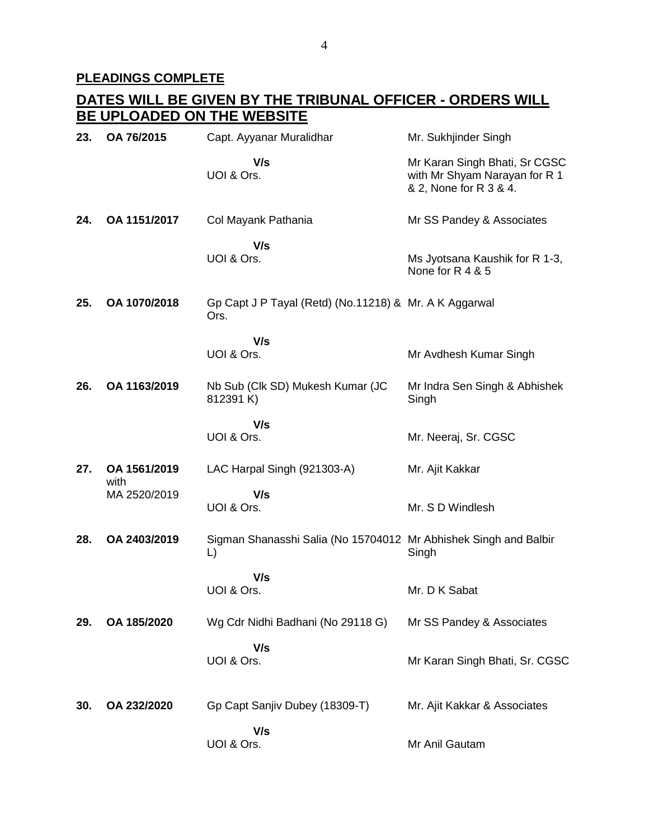# **PLEADINGS COMPLETE**

## **DATES WILL BE GIVEN BY THE TRIBUNAL OFFICER - ORDERS WILL BE UPLOADED ON THE WEBSITE**

| 23. | OA 76/2015           | Capt. Ayyanar Muralidhar                                               | Mr. Sukhjinder Singh                                                                     |
|-----|----------------------|------------------------------------------------------------------------|------------------------------------------------------------------------------------------|
|     |                      | V/s<br>UOI & Ors.                                                      | Mr Karan Singh Bhati, Sr CGSC<br>with Mr Shyam Narayan for R 1<br>& 2, None for R 3 & 4. |
| 24. | OA 1151/2017         | Col Mayank Pathania                                                    | Mr SS Pandey & Associates                                                                |
|     |                      | V/s<br>UOI & Ors.                                                      | Ms Jyotsana Kaushik for R 1-3,<br>None for R 4 & 5                                       |
| 25. | OA 1070/2018         | Gp Capt J P Tayal (Retd) (No.11218) & Mr. A K Aggarwal<br>Ors.         |                                                                                          |
|     |                      | V/s<br>UOI & Ors.                                                      | Mr Avdhesh Kumar Singh                                                                   |
| 26. | OA 1163/2019         | Nb Sub (Clk SD) Mukesh Kumar (JC<br>812391 K)                          | Mr Indra Sen Singh & Abhishek<br>Singh                                                   |
|     |                      | V/s<br>UOI & Ors.                                                      | Mr. Neeraj, Sr. CGSC                                                                     |
| 27. | OA 1561/2019         | LAC Harpal Singh (921303-A)                                            | Mr. Ajit Kakkar                                                                          |
|     | with<br>MA 2520/2019 | V/s<br>UOI & Ors.                                                      | Mr. S D Windlesh                                                                         |
| 28. | OA 2403/2019         | Sigman Shanasshi Salia (No 15704012 Mr Abhishek Singh and Balbir<br>L) | Singh                                                                                    |
|     |                      | V/s<br>UOI & Ors.                                                      | Mr. D K Sabat                                                                            |
| 29. | OA 185/2020          | Wg Cdr Nidhi Badhani (No 29118 G)                                      | Mr SS Pandey & Associates                                                                |
|     |                      | V/s<br>UOI & Ors.                                                      | Mr Karan Singh Bhati, Sr. CGSC                                                           |
| 30. | OA 232/2020          | Gp Capt Sanjiv Dubey (18309-T)                                         | Mr. Ajit Kakkar & Associates                                                             |
|     |                      | V/s<br>UOI & Ors.                                                      | Mr Anil Gautam                                                                           |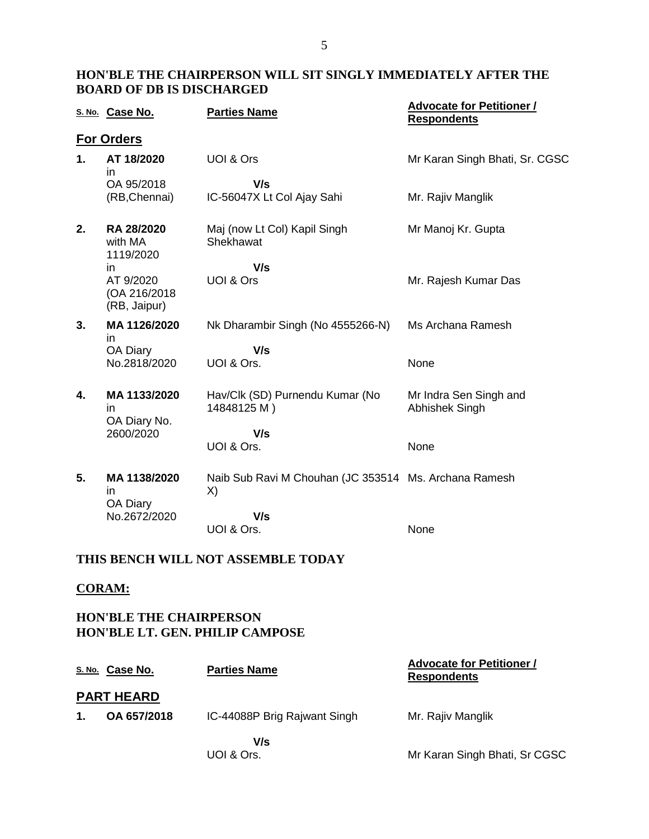### **HON'BLE THE CHAIRPERSON WILL SIT SINGLY IMMEDIATELY AFTER THE BOARD OF DB IS DISCHARGED**

|    | S. No. Case No.                           | <b>Parties Name</b>                                         | <b>Advocate for Petitioner /</b><br><b>Respondents</b> |
|----|-------------------------------------------|-------------------------------------------------------------|--------------------------------------------------------|
|    | <b>For Orders</b>                         |                                                             |                                                        |
| 1. | AT 18/2020<br>in.                         | UOI & Ors                                                   | Mr Karan Singh Bhati, Sr. CGSC                         |
|    | OA 95/2018<br>(RB, Chennai)               | V/s<br>IC-56047X Lt Col Ajay Sahi                           | Mr. Rajiv Manglik                                      |
| 2. | RA 28/2020<br>with MA<br>1119/2020        | Maj (now Lt Col) Kapil Singh<br>Shekhawat                   | Mr Manoj Kr. Gupta                                     |
|    | in.                                       | V/s                                                         |                                                        |
|    | AT 9/2020<br>(OA 216/2018<br>(RB, Jaipur) | UOI & Ors                                                   | Mr. Rajesh Kumar Das                                   |
| 3. | MA 1126/2020<br>in.                       | Nk Dharambir Singh (No 4555266-N)                           | Ms Archana Ramesh                                      |
|    | OA Diary                                  | V/s                                                         |                                                        |
|    | No.2818/2020                              | UOI & Ors.                                                  | None                                                   |
| 4. | MA 1133/2020<br>in.<br>OA Diary No.       | Hav/Clk (SD) Purnendu Kumar (No<br>14848125 M)              | Mr Indra Sen Singh and<br>Abhishek Singh               |
|    | 2600/2020                                 | V/s                                                         |                                                        |
|    |                                           | UOI & Ors.                                                  | None                                                   |
| 5. | MA 1138/2020<br>in.<br>OA Diary           | Naib Sub Ravi M Chouhan (JC 353514 Ms. Archana Ramesh<br>X) |                                                        |
|    | No.2672/2020                              | V/s                                                         |                                                        |
|    |                                           | UOI & Ors.                                                  | None                                                   |

## **THIS BENCH WILL NOT ASSEMBLE TODAY**

### **CORAM:**

## **HON'BLE THE CHAIRPERSON HON'BLE LT. GEN. PHILIP CAMPOSE**

|                | S. No. Case No.   | <b>Parties Name</b>          | <b>Advocate for Petitioner /</b><br><b>Respondents</b> |
|----------------|-------------------|------------------------------|--------------------------------------------------------|
|                | <b>PART HEARD</b> |                              |                                                        |
| $\mathbf{1}$ . | OA 657/2018       | IC-44088P Brig Rajwant Singh | Mr. Rajiv Manglik                                      |
|                |                   | V/s                          |                                                        |
|                |                   | UOI & Ors.                   | Mr Karan Singh Bhati, Sr CGSC                          |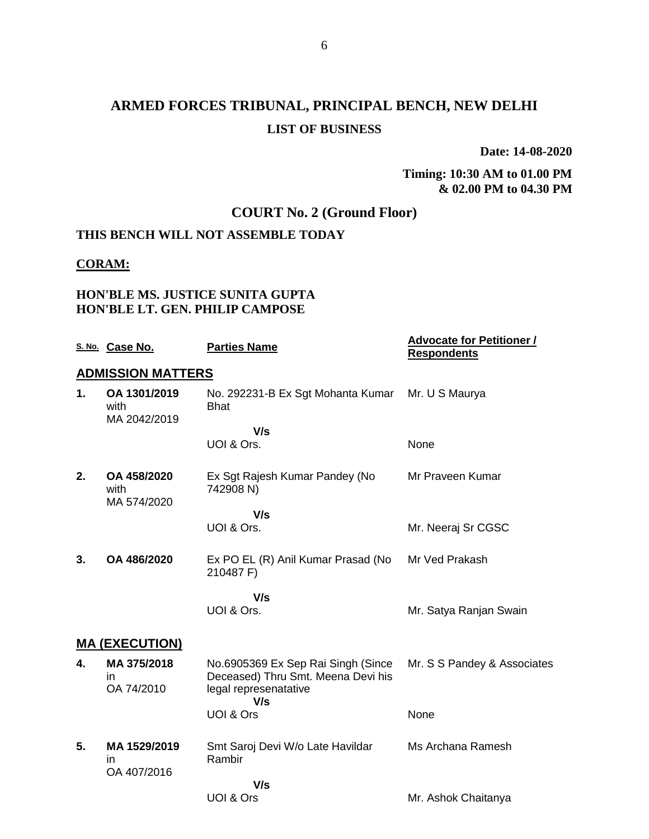# **ARMED FORCES TRIBUNAL, PRINCIPAL BENCH, NEW DELHI LIST OF BUSINESS**

**Date: 14-08-2020**

#### **Timing: 10:30 AM to 01.00 PM & 02.00 PM to 04.30 PM**

# **COURT No. 2 (Ground Floor)**

# **THIS BENCH WILL NOT ASSEMBLE TODAY**

#### **CORAM:**

## **HON'BLE MS. JUSTICE SUNITA GUPTA HON'BLE LT. GEN. PHILIP CAMPOSE**

|    | S. No. Case No.                      | <b>Parties Name</b>                                                                                      | <b>Advocate for Petitioner /</b><br><b>Respondents</b> |
|----|--------------------------------------|----------------------------------------------------------------------------------------------------------|--------------------------------------------------------|
|    | <b>ADMISSION MATTERS</b>             |                                                                                                          |                                                        |
| 1. | OA 1301/2019<br>with<br>MA 2042/2019 | No. 292231-B Ex Sgt Mohanta Kumar<br><b>Bhat</b>                                                         | Mr. U S Maurya                                         |
|    |                                      | V/s                                                                                                      |                                                        |
|    |                                      | UOI & Ors.                                                                                               | None                                                   |
| 2. | OA 458/2020<br>with<br>MA 574/2020   | Ex Sgt Rajesh Kumar Pandey (No<br>742908 N)                                                              | Mr Praveen Kumar                                       |
|    |                                      | V/s                                                                                                      |                                                        |
|    |                                      | UOI & Ors.                                                                                               | Mr. Neeraj Sr CGSC                                     |
| 3. | OA 486/2020                          | Ex PO EL (R) Anil Kumar Prasad (No<br>210487 F)                                                          | Mr Ved Prakash                                         |
|    |                                      | V/s                                                                                                      |                                                        |
|    |                                      | UOI & Ors.                                                                                               | Mr. Satya Ranjan Swain                                 |
|    | <b>MA (EXECUTION)</b>                |                                                                                                          |                                                        |
| 4. | MA 375/2018<br>in.<br>OA 74/2010     | No.6905369 Ex Sep Rai Singh (Since<br>Deceased) Thru Smt. Meena Devi his<br>legal represenatative<br>V/s | Mr. S S Pandey & Associates                            |
|    |                                      | UOI & Ors                                                                                                | None                                                   |
| 5. | MA 1529/2019<br>in<br>OA 407/2016    | Smt Saroj Devi W/o Late Havildar<br>Rambir                                                               | Ms Archana Ramesh                                      |
|    |                                      | V/s                                                                                                      |                                                        |
|    |                                      | UOI & Ors                                                                                                | Mr. Ashok Chaitanya                                    |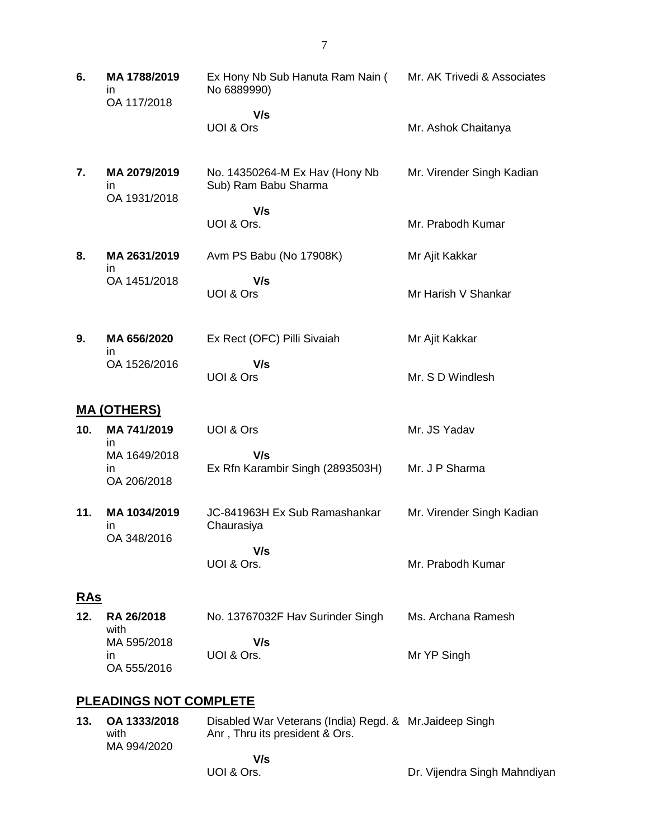| 6.                | MA 1788/2019<br>in.<br>OA 117/2018  | Ex Hony Nb Sub Hanuta Ram Nain ( Mr. AK Trivedi & Associates<br>No 6889990) |                           |  |
|-------------------|-------------------------------------|-----------------------------------------------------------------------------|---------------------------|--|
|                   |                                     | V/s                                                                         |                           |  |
|                   |                                     | UOI & Ors                                                                   | Mr. Ashok Chaitanya       |  |
| 7.                | MA 2079/2019<br>in.<br>OA 1931/2018 | No. 14350264-M Ex Hav (Hony Nb<br>Sub) Ram Babu Sharma                      | Mr. Virender Singh Kadian |  |
|                   |                                     | V/s<br>UOI & Ors.                                                           | Mr. Prabodh Kumar         |  |
| 8.                | MA 2631/2019<br>in.                 | Avm PS Babu (No 17908K)                                                     | Mr Ajit Kakkar            |  |
|                   | OA 1451/2018                        | V/s<br>UOI & Ors                                                            | Mr Harish V Shankar       |  |
| 9.                | MA 656/2020<br>in.                  | Ex Rect (OFC) Pilli Sivaiah                                                 | Mr Ajit Kakkar            |  |
|                   | OA 1526/2016                        | V/s<br>UOI & Ors                                                            | Mr. S D Windlesh          |  |
|                   | <b>MA (OTHERS)</b>                  |                                                                             |                           |  |
| 10.               | MA 741/2019<br>in.                  | UOI & Ors                                                                   | Mr. JS Yadav              |  |
|                   | MA 1649/2018<br>ın<br>OA 206/2018   | V/s<br>Ex Rfn Karambir Singh (2893503H)                                     | Mr. J P Sharma            |  |
| 11.               | MA 1034/2019<br>ın<br>OA 348/2016   | JC-841963H Ex Sub Ramashankar<br>Chaurasiya                                 | Mr. Virender Singh Kadian |  |
|                   |                                     | V/s<br>UOI & Ors.                                                           | Mr. Prabodh Kumar         |  |
| <u>RAs</u>        |                                     |                                                                             |                           |  |
| 12.               | RA 26/2018<br>with                  | No. 13767032F Hav Surinder Singh                                            | Ms. Archana Ramesh        |  |
|                   | MA 595/2018<br>in.<br>OA 555/2016   | V/s<br>UOI & Ors.                                                           | Mr YP Singh               |  |
| IAG NAT AAMDI FTE |                                     |                                                                             |                           |  |

### **PLEADINGS NOT COMPLETE**

| 13. | OA 1333/2018<br>with<br>MA 994/2020 | Disabled War Veterans (India) Regd. & Mr. Jaideep Singh<br>Anr, Thru its president & Ors. |                              |
|-----|-------------------------------------|-------------------------------------------------------------------------------------------|------------------------------|
|     |                                     | V/s<br>UOI & Ors.                                                                         | Dr. Vijendra Singh Mahndiyan |

7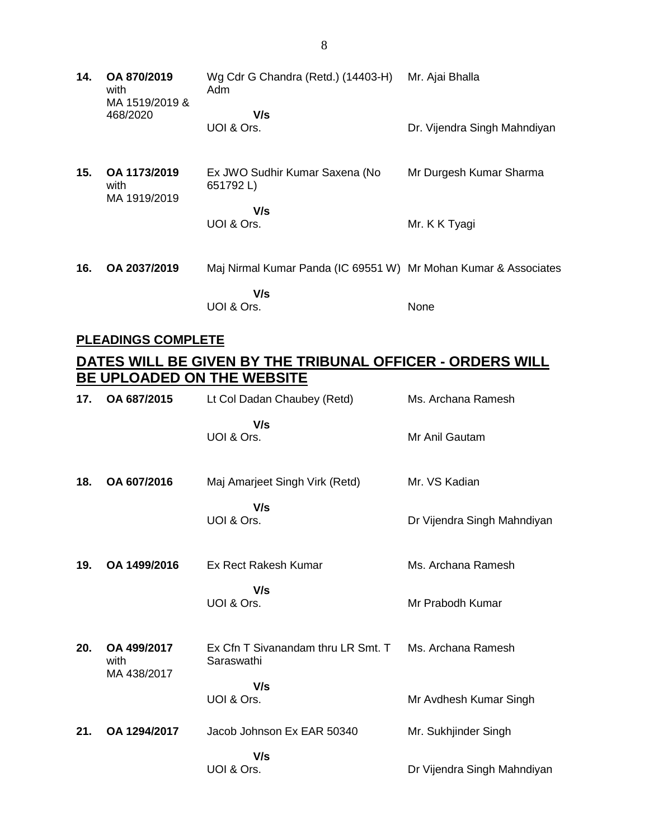**14. OA 870/2019** with MA 1519/2019 & 468/2020 Wg Cdr G Chandra (Retd.) (14403-H) Mr. Ajai Bhalla Adm  **V/s** UOI & Ors. Dr. Vijendra Singh Mahndiyan **15. OA 1173/2019** with MA 1919/2019 Ex JWO Sudhir Kumar Saxena (No 651792 L)  **V/s** UOI & Ors. Mr Durgesh Kumar Sharma Mr. K K Tyagi **16. OA 2037/2019** Maj Nirmal Kumar Panda (IC 69551 W) Mr Mohan Kumar & Associates  **V/s** UOI & Ors. None

### **PLEADINGS COMPLETE**

# **DATES WILL BE GIVEN BY THE TRIBUNAL OFFICER - ORDERS WILL BE UPLOADED ON THE WEBSITE**

| 17. | OA 687/2015                        | Lt Col Dadan Chaubey (Retd)                      | Ms. Archana Ramesh          |
|-----|------------------------------------|--------------------------------------------------|-----------------------------|
|     |                                    | V/s<br>UOI & Ors.                                | Mr Anil Gautam              |
| 18. | OA 607/2016                        | Maj Amarjeet Singh Virk (Retd)                   | Mr. VS Kadian               |
|     |                                    | V/s<br>UOI & Ors.                                | Dr Vijendra Singh Mahndiyan |
| 19. | OA 1499/2016                       | Ex Rect Rakesh Kumar                             | Ms. Archana Ramesh          |
|     |                                    | V/s<br>UOI & Ors.                                | Mr Prabodh Kumar            |
| 20. | OA 499/2017<br>with<br>MA 438/2017 | Ex Cfn T Sivanandam thru LR Smt. T<br>Saraswathi | Ms. Archana Ramesh          |
|     |                                    | V/s<br>UOI & Ors.                                | Mr Avdhesh Kumar Singh      |
| 21. | OA 1294/2017                       | Jacob Johnson Ex EAR 50340                       | Mr. Sukhjinder Singh        |
|     |                                    | V/s<br>UOI & Ors.                                | Dr Vijendra Singh Mahndiyan |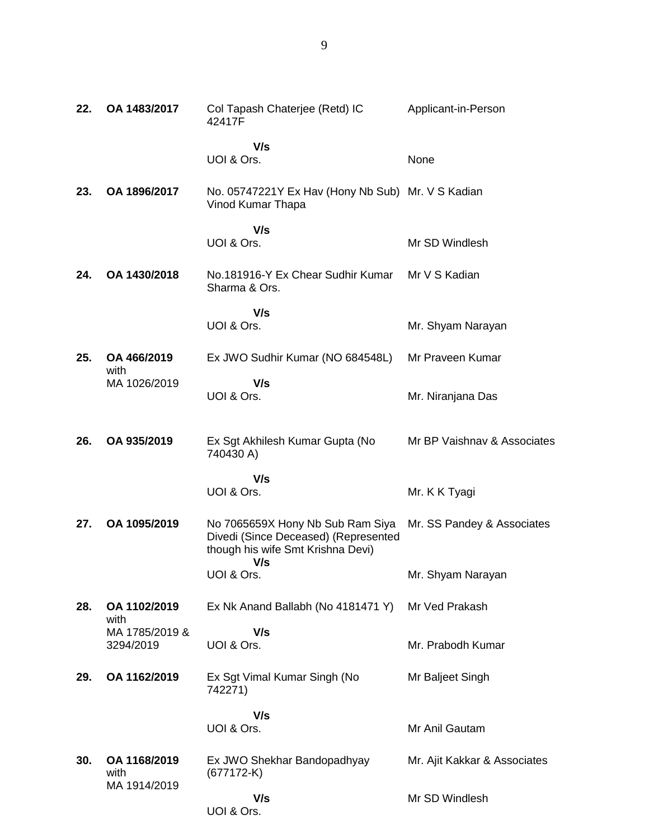| 22. | OA 1483/2017                | Col Tapash Chaterjee (Retd) IC<br>42417F                                                                             | Applicant-in-Person          |
|-----|-----------------------------|----------------------------------------------------------------------------------------------------------------------|------------------------------|
|     |                             | V/s<br>UOI & Ors.                                                                                                    | None                         |
| 23. | OA 1896/2017                | No. 05747221Y Ex Hav (Hony Nb Sub) Mr. V S Kadian<br>Vinod Kumar Thapa                                               |                              |
|     |                             | V/s<br>UOI & Ors.                                                                                                    | Mr SD Windlesh               |
| 24. | OA 1430/2018                | No.181916-Y Ex Chear Sudhir Kumar<br>Sharma & Ors.                                                                   | Mr V S Kadian                |
|     |                             | V/s<br>UOI & Ors.                                                                                                    | Mr. Shyam Narayan            |
| 25. | OA 466/2019<br>with         | Ex JWO Sudhir Kumar (NO 684548L)                                                                                     | Mr Praveen Kumar             |
|     | MA 1026/2019                | V/s<br>UOI & Ors.                                                                                                    | Mr. Niranjana Das            |
| 26. | OA 935/2019                 | Ex Sgt Akhilesh Kumar Gupta (No<br>740430 A)                                                                         | Mr BP Vaishnav & Associates  |
|     |                             | V/s<br>UOI & Ors.                                                                                                    | Mr. K K Tyagi                |
| 27. | OA 1095/2019                | No 7065659X Hony Nb Sub Ram Siya<br>Divedi (Since Deceased) (Represented<br>though his wife Smt Krishna Devi)<br>V/s | Mr. SS Pandey & Associates   |
|     |                             | UOI & Ors.                                                                                                           | Mr. Shyam Narayan            |
| 28. | OA 1102/2019<br>with        | Ex Nk Anand Ballabh (No 4181471 Y)                                                                                   | Mr Ved Prakash               |
|     | MA 1785/2019 &<br>3294/2019 | V/s<br>UOI & Ors.                                                                                                    | Mr. Prabodh Kumar            |
| 29. | OA 1162/2019                | Ex Sgt Vimal Kumar Singh (No<br>742271)                                                                              | Mr Baljeet Singh             |
|     |                             | V/s<br>UOI & Ors.                                                                                                    | Mr Anil Gautam               |
| 30. | OA 1168/2019<br>with        | Ex JWO Shekhar Bandopadhyay<br>$(677172-K)$                                                                          | Mr. Ajit Kakkar & Associates |
|     | MA 1914/2019                | V/s                                                                                                                  | Mr SD Windlesh               |

### UOI & Ors.